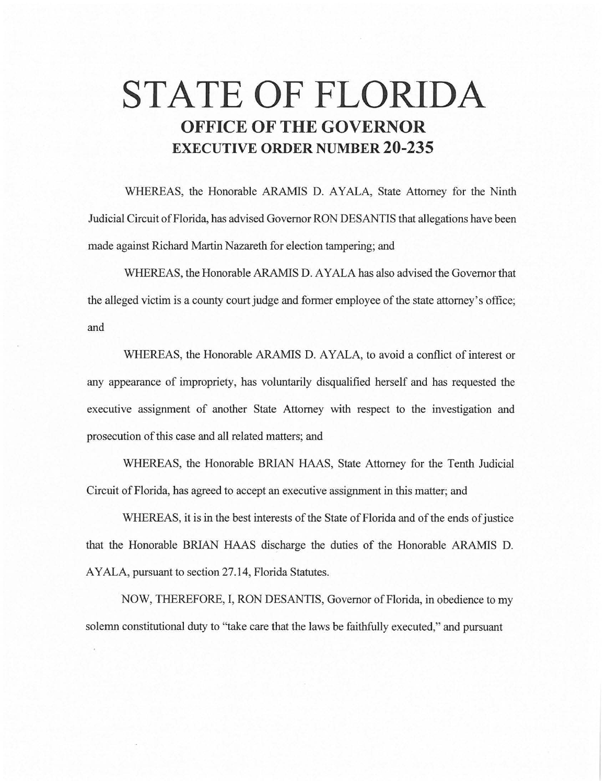# **STATE OF FLORIDA OFFICE OF THE GOVERNOR EXECUTIVE ORDER NUMBER 20-235**

WHEREAS, the Honorable ARAMIS D. AYALA, State Attorney for the Ninth Judicial Circuit of Florida, has advised Governor RON DESANTIS that allegations have been made against Richard Martin Nazareth for election tampering; and

WHEREAS, the Honorable ARAMIS D. AYALA has also advised the Governor that the alleged victim is a county court judge and former employee of the state attorney's office; and

WHEREAS, the Honorable ARAMIS D. AYALA, to avoid a conflict of interest or any appearance of impropriety, has voluntarily disqualified herself and has requested the executive assignment of another State Attorney with respect to the investigation and prosecution of this case and all related matters; and

WHEREAS, the Honorable BRIAN HAAS, State Attorney for the Tenth Judicial Circuit of Florida, has agreed to accept an executive assignment in this matter; and

WHEREAS, it is in the best interests of the State of Florida and of the ends of justice that the Honorable BRIAN HAAS discharge the duties of the Honorable ARAMIS D. AYALA, pursuant to section 27 .14, Florida Statutes.

NOW, THEREFORE, I, RON DESANTIS, Governor of Florida, in obedience to my solemn constitutional duty to "take care that the laws be faithfully executed," and pursuant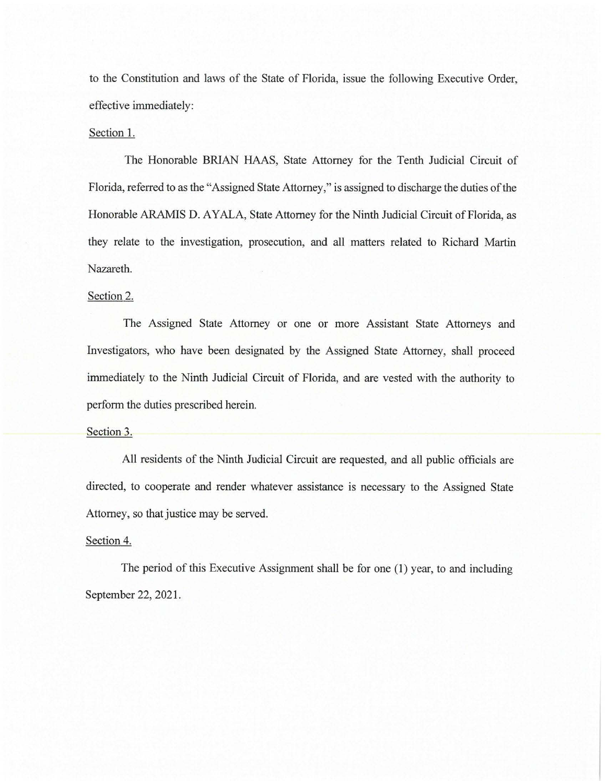to the Constitution and laws of the State of Florida, issue the following Executive Order, effective immediately:

## Section 1.

The Honorable BRJAN HAAS, State Attorney for the Tenth Judicial Circuit of Florida, referred to as the "Assigned State Attorney," is assigned to discharge the duties of the Honorable ARAMIS D. AYALA, State Attorney for the Ninth Judicial Circuit of Florida, as they relate to the investigation, prosecution, and all matters related to Richard Martin Nazareth.

# Section 2.

The Assigned State Attorney or one or more Assistant State Attorneys and Investigators, who have been designated by the Assigned State Attorney, shall proceed immediately to the Ninth Judicial Circuit of Florida, and are vested with the authority to perform the duties prescribed herein.

#### Section 3.

All residents of the Ninth Judicial Circuit are requested, and all public officials are directed, to cooperate and render whatever assistance is necessary to the Assigned State Attorney, so that justice may be served.

## Section 4.

The period of this Executive Assignment shall be for one (1) year, to and including September 22, 2021.